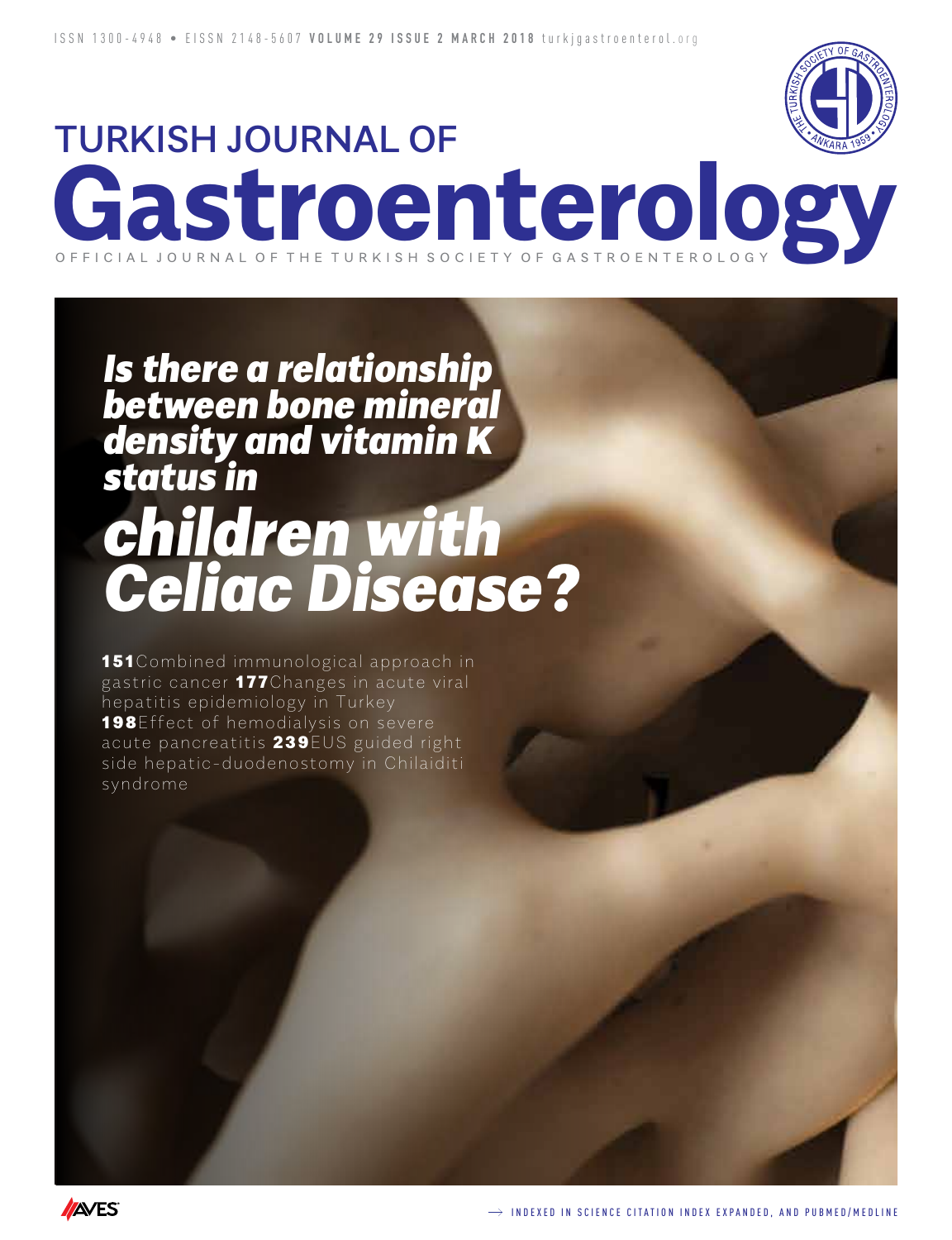

# TURKISH JOURNAL OF **Gastroenterology** O F F I C I A L J O U R N A L O F T H E T U R K I S H S O C I E T Y O F G A S T R O E N T E R O L O

# *children with Celiac Disease? Is there a relationship between bone mineral density and vitamin K status in*

**151**Combined immunological approach in gastric cancer 177Changes in acute viral hepatitis epidemiology in Turkey **198** Effect of hemodialysis on severe acute pancreatitis 239EUS guided right side hepatic-duodenostomy in Chilaiditi syndrome

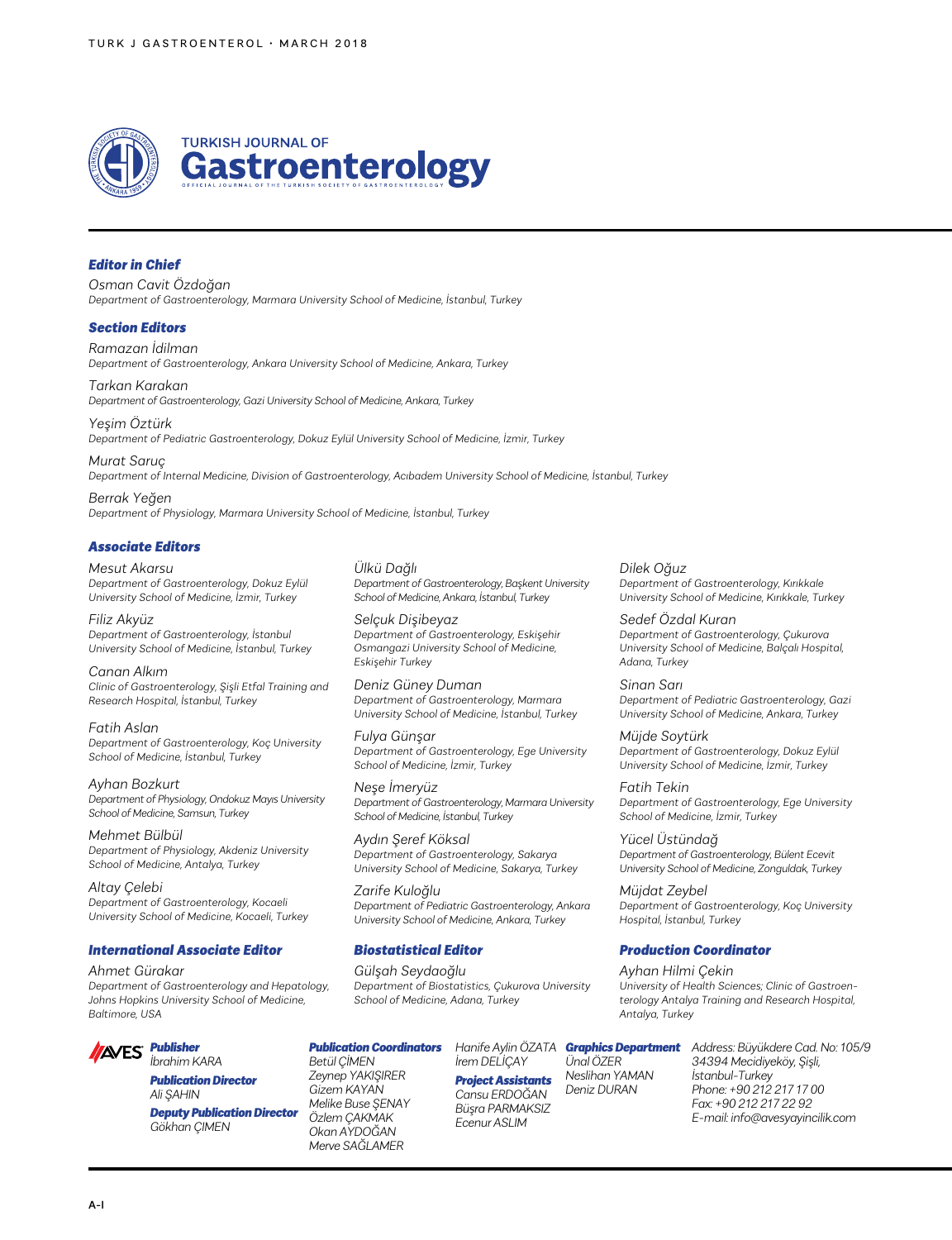

#### *Editor in Chief*

*Osman Cavit Özdoğan Department of Gastroenterology, Marmara University School of Medicine, İstanbul, Turkey*

#### *Section Editors*

*Ramazan İdilman Department of Gastroenterology, Ankara University School of Medicine, Ankara, Turkey*

*Tarkan Karakan Department of Gastroenterology, Gazi University School of Medicine, Ankara, Turkey*

*Yeşim Öztürk Department of Pediatric Gastroenterology, Dokuz Eylül University School of Medicine, İzmir, Turkey*

*Murat Saruç Department of Internal Medicine, Division of Gastroenterology, Acıbadem University School of Medicine, İstanbul, Turkey*

*Berrak Yeğen Department of Physiology, Marmara University School of Medicine, İstanbul, Turkey*

#### *Associate Editors*

*Mesut Akarsu Department of Gastroenterology, Dokuz Eylül University School of Medicine, İzmir, Turkey*

#### *Filiz Akyüz*

*Department of Gastroenterology, İstanbul University School of Medicine, İstanbul, Turkey*

*Canan Alkım Clinic of Gastroenterology, Şişli Etfal Training and Research Hospital, İstanbul, Turkey*

*Fatih Aslan Department of Gastroenterology, Koç University School of Medicine, İstanbul, Turkey*

*Ayhan Bozkurt Department of Physiology, Ondokuz Mayıs University School of Medicine, Samsun, Turkey*

*Mehmet Bülbül Department of Physiology, Akdeniz University School of Medicine, Antalya, Turkey*

*Altay Çelebi Department of Gastroenterology, Kocaeli University School of Medicine, Kocaeli, Turkey*

#### *International Associate Editor*

*Ahmet Gürakar Department of Gastroenterology and Hepatology, Johns Hopkins University School of Medicine, Baltimore, USA*



#### *İbrahim KARA Publication Director Ali ŞAHIN*

*Deputy Publication Director Gökhan ÇIMEN*

*Ülkü Dağlı Department of Gastroenterology, Başkent University School of Medicine, Ankara, İstanbul, Turkey*

*Selçuk Dişibeyaz Department of Gastroenterology, Eskişehir Osmangazi University School of Medicine, Eskişehir Turkey*

*Deniz Güney Duman Department of Gastroenterology, Marmara University School of Medicine, İstanbul, Turkey*

*Fulya Günşar Department of Gastroenterology, Ege University School of Medicine, İzmir, Turkey*

*Neşe İmeryüz Department of Gastroenterology, Marmara University School of Medicine, İstanbul, Turkey*

*Aydın Şeref Köksal Department of Gastroenterology, Sakarya University School of Medicine, Sakarya, Turkey*

*Zarife Kuloğlu Department of Pediatric Gastroenterology, Ankara University School of Medicine, Ankara, Turkey*

#### *Biostatistical Editor*

*Gülşah Seydaoğlu Department of Biostatistics, Çukurova University School of Medicine, Adana, Turkey*

*Publication Coordinators*

*Betül ÇİMEN Zeynep YAKIŞIRER Gizem KAYAN Melike Buse ŞENAY Özlem ÇAKMAK Okan AYDOĞAN Merve SAĞLAMER*

*İrem DELİÇAY Project Assistants Cansu ERDOĞAN Büşra PARMAKSIZ Ecenur ASLIM Ünal ÖZER Deniz DURAN*

*Neslihan YAMAN*

*Antalya, Turkey*

*Hanife Aylin ÖZATA Graphics Department Address: Büyükdere Cad. No: 105/9 34394 Mecidiyeköy, Şişli, İstanbul-Turkey Phone: +90 212 217 17 00 Fax: +90 212 217 22 92 E-mail: info@avesyayincilik.com*

*Dilek Oğuz Department of Gastroenterology, Kırıkkale University School of Medicine, Kırıkkale, Turkey*

*Sedef Özdal Kuran Department of Gastroenterology, Çukurova University School of Medicine, Balçalı Hospital, Adana, Turkey* 

*Sinan Sarı Department of Pediatric Gastroenterology, Gazi University School of Medicine, Ankara, Turkey*

*Müjde Soytürk Department of Gastroenterology, Dokuz Eylül University School of Medicine, İzmir, Turkey*

*Fatih Tekin Department of Gastroenterology, Ege University School of Medicine, İzmir, Turkey*

*Yücel Üstündağ Department of Gastroenterology, Bülent Ecevit University School of Medicine, Zonguldak, Turkey*

*Müjdat Zeybel Department of Gastroenterology, Koç University Hospital, İstanbul, Turkey*

*University of Health Sciences; Clinic of Gastroenterology Antalya Training and Research Hospital,* 

#### *Production Coordinator*

*Ayhan Hilmi Çekin*

A-I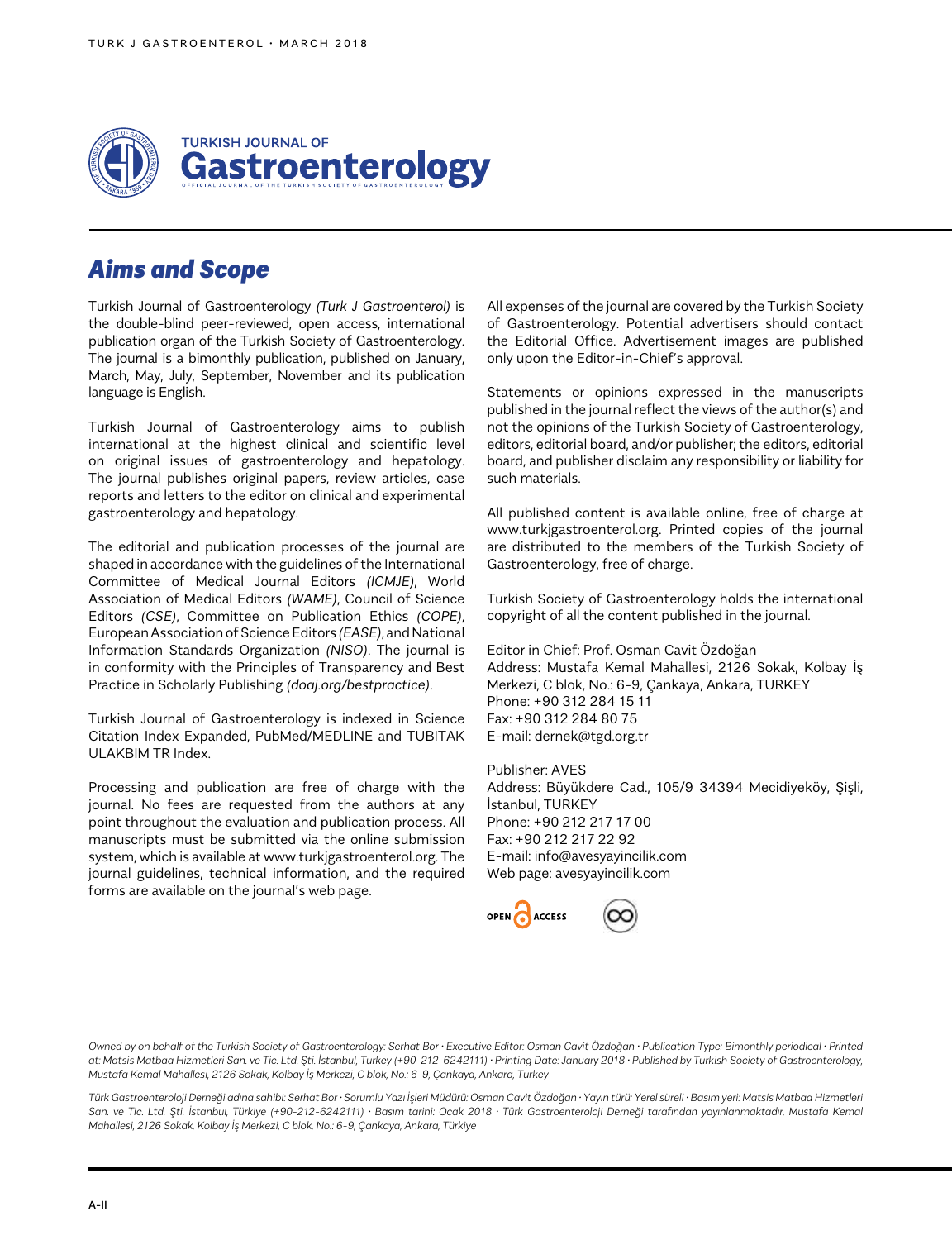

# *Aims and Scope*

Turkish Journal of Gastroenterology *(Turk J Gastroenterol)* is the double-blind peer-reviewed, open access, international publication organ of the Turkish Society of Gastroenterology. The journal is a bimonthly publication, published on January, March, May, July, September, November and its publication language is English.

Turkish Journal of Gastroenterology aims to publish international at the highest clinical and scientific level on original issues of gastroenterology and hepatology. The journal publishes original papers, review articles, case reports and letters to the editor on clinical and experimental gastroenterology and hepatology.

The editorial and publication processes of the journal are shaped in accordance with the guidelines of the International Committee of Medical Journal Editors *(ICMJE)*, World Association of Medical Editors *(WAME)*, Council of Science Editors *(CSE)*, Committee on Publication Ethics *(COPE)*, European Association of Science Editors *(EASE)*, and National Information Standards Organization *(NISO)*. The journal is in conformity with the Principles of Transparency and Best Practice in Scholarly Publishing *(doaj.org/bestpractice)*.

Turkish Journal of Gastroenterology is indexed in Science Citation Index Expanded, PubMed/MEDLINE and TUBITAK ULAKBIM TR Index.

Processing and publication are free of charge with the journal. No fees are requested from the authors at any point throughout the evaluation and publication process. All manuscripts must be submitted via the online submission system, which is available at www.turkjgastroenterol.org. The journal guidelines, technical information, and the required forms are available on the journal's web page.

All expenses of the journal are covered by the Turkish Society of Gastroenterology. Potential advertisers should contact the Editorial Office. Advertisement images are published only upon the Editor-in-Chief's approval.

Statements or opinions expressed in the manuscripts published in the journal reflect the views of the author(s) and not the opinions of the Turkish Society of Gastroenterology, editors, editorial board, and/or publisher; the editors, editorial board, and publisher disclaim any responsibility or liability for such materials.

All published content is available online, free of charge at www.turkjgastroenterol.org. Printed copies of the journal are distributed to the members of the Turkish Society of Gastroenterology, free of charge.

Turkish Society of Gastroenterology holds the international copyright of all the content published in the journal.

Editor in Chief: Prof. Osman Cavit Özdoğan Address: Mustafa Kemal Mahallesi, 2126 Sokak, Kolbay İş Merkezi, C blok, No.: 6-9, Çankaya, Ankara, TURKEY Phone: +90 312 284 15 11 Fax: +90 312 284 80 75 E-mail: dernek@tgd.org.tr

Publisher: AVES Address: Büyükdere Cad., 105/9 34394 Mecidiyeköy, Şişli, İstanbul, TURKEY Phone: +90 212 217 17 00 Fax: +90 212 217 22 92 E-mail: info@avesyayincilik.com Web page: avesyayincilik.com



*Owned by on behalf of the Turkish Society of Gastroenterology: Serhat Bor • Executive Editor: Osman Cavit Özdoğan • Publication Type: Bimonthly periodical • Printed at: Matsis Matbaa Hizmetleri San. ve Tic. Ltd. Şti. İstanbul, Turkey (+90-212-6242111) • Printing Date: January 2018 • Published by Turkish Society of Gastroenterology, Mustafa Kemal Mahallesi, 2126 Sokak, Kolbay İş Merkezi, C blok, No.: 6-9, Çankaya, Ankara, Turkey*

*Türk Gastroenteroloji Derneği adına sahibi: Serhat Bor • Sorumlu Yazı İşleri Müdürü: Osman Cavit Özdoğan • Yayın türü: Yerel süreli • Basım yeri: Matsis Matbaa Hizmetleri San. ve Tic. Ltd. Şti. İstanbul, Türkiye (+90-212-6242111) • Basım tarihi: Ocak 2018 • Türk Gastroenteroloji Derneği tarafından yayınlanmaktadır, Mustafa Kemal Mahallesi, 2126 Sokak, Kolbay İş Merkezi, C blok, No.: 6-9, Çankaya, Ankara, Türkiye*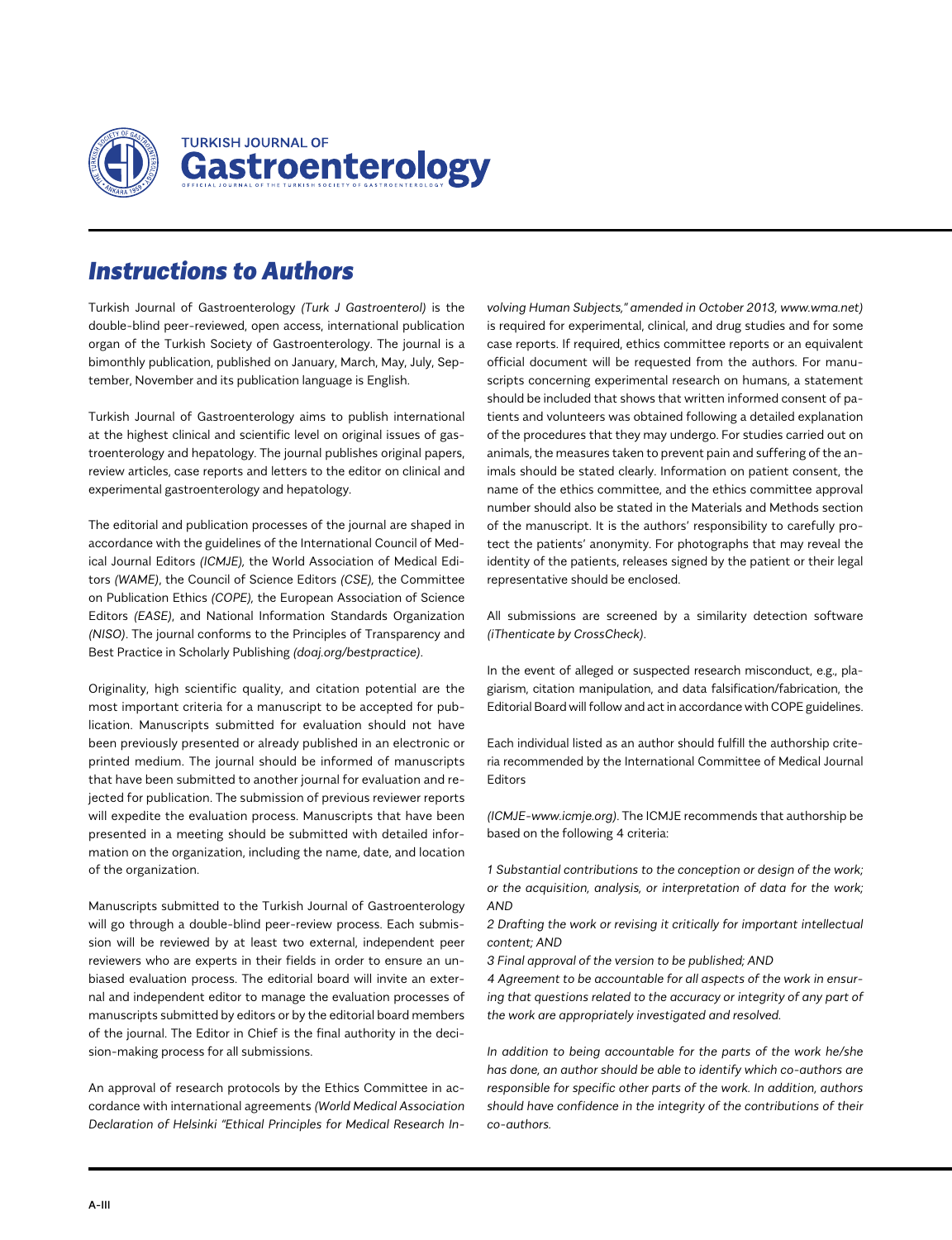

# *Instructions to Authors*

Turkish Journal of Gastroenterology *(Turk J Gastroenterol)* is the double-blind peer-reviewed, open access, international publication organ of the Turkish Society of Gastroenterology. The journal is a bimonthly publication, published on January, March, May, July, September, November and its publication language is English.

Turkish Journal of Gastroenterology aims to publish international at the highest clinical and scientific level on original issues of gastroenterology and hepatology. The journal publishes original papers, review articles, case reports and letters to the editor on clinical and experimental gastroenterology and hepatology.

The editorial and publication processes of the journal are shaped in accordance with the guidelines of the International Council of Medical Journal Editors *(ICMJE),* the World Association of Medical Editors *(WAME)*, the Council of Science Editors *(CSE),* the Committee on Publication Ethics *(COPE),* the European Association of Science Editors *(EASE)*, and National Information Standards Organization *(NISO)*. The journal conforms to the Principles of Transparency and Best Practice in Scholarly Publishing *(doaj.org/bestpractice)*.

Originality, high scientific quality, and citation potential are the most important criteria for a manuscript to be accepted for publication. Manuscripts submitted for evaluation should not have been previously presented or already published in an electronic or printed medium. The journal should be informed of manuscripts that have been submitted to another journal for evaluation and rejected for publication. The submission of previous reviewer reports will expedite the evaluation process. Manuscripts that have been presented in a meeting should be submitted with detailed information on the organization, including the name, date, and location of the organization.

Manuscripts submitted to the Turkish Journal of Gastroenterology will go through a double-blind peer-review process. Each submission will be reviewed by at least two external, independent peer reviewers who are experts in their fields in order to ensure an unbiased evaluation process. The editorial board will invite an external and independent editor to manage the evaluation processes of manuscripts submitted by editors or by the editorial board members of the journal. The Editor in Chief is the final authority in the decision-making process for all submissions.

An approval of research protocols by the Ethics Committee in accordance with international agreements *(World Medical Association Declaration of Helsinki "Ethical Principles for Medical Research In-*

*volving Human Subjects," amended in October 2013, www.wma.net)* is required for experimental, clinical, and drug studies and for some case reports. If required, ethics committee reports or an equivalent official document will be requested from the authors. For manuscripts concerning experimental research on humans, a statement should be included that shows that written informed consent of patients and volunteers was obtained following a detailed explanation of the procedures that they may undergo. For studies carried out on animals, the measures taken to prevent pain and suffering of the animals should be stated clearly. Information on patient consent, the name of the ethics committee, and the ethics committee approval number should also be stated in the Materials and Methods section of the manuscript. It is the authors' responsibility to carefully protect the patients' anonymity. For photographs that may reveal the identity of the patients, releases signed by the patient or their legal representative should be enclosed.

All submissions are screened by a similarity detection software *(iThenticate by CrossCheck)*.

In the event of alleged or suspected research misconduct, e.g., plagiarism, citation manipulation, and data falsification/fabrication, the Editorial Board will follow and act in accordance with COPE guidelines.

Each individual listed as an author should fulfill the authorship criteria recommended by the International Committee of Medical Journal Editors

*(ICMJE-www.icmje.org)*. The ICMJE recommends that authorship be based on the following 4 criteria:

*1 Substantial contributions to the conception or design of the work; or the acquisition, analysis, or interpretation of data for the work; AND*

*2 Drafting the work or revising it critically for important intellectual content; AND*

*3 Final approval of the version to be published; AND*

*4 Agreement to be accountable for all aspects of the work in ensuring that questions related to the accuracy or integrity of any part of the work are appropriately investigated and resolved.*

*In addition to being accountable for the parts of the work he/she has done, an author should be able to identify which co-authors are responsible for specific other parts of the work. In addition, authors should have confidence in the integrity of the contributions of their co-authors.*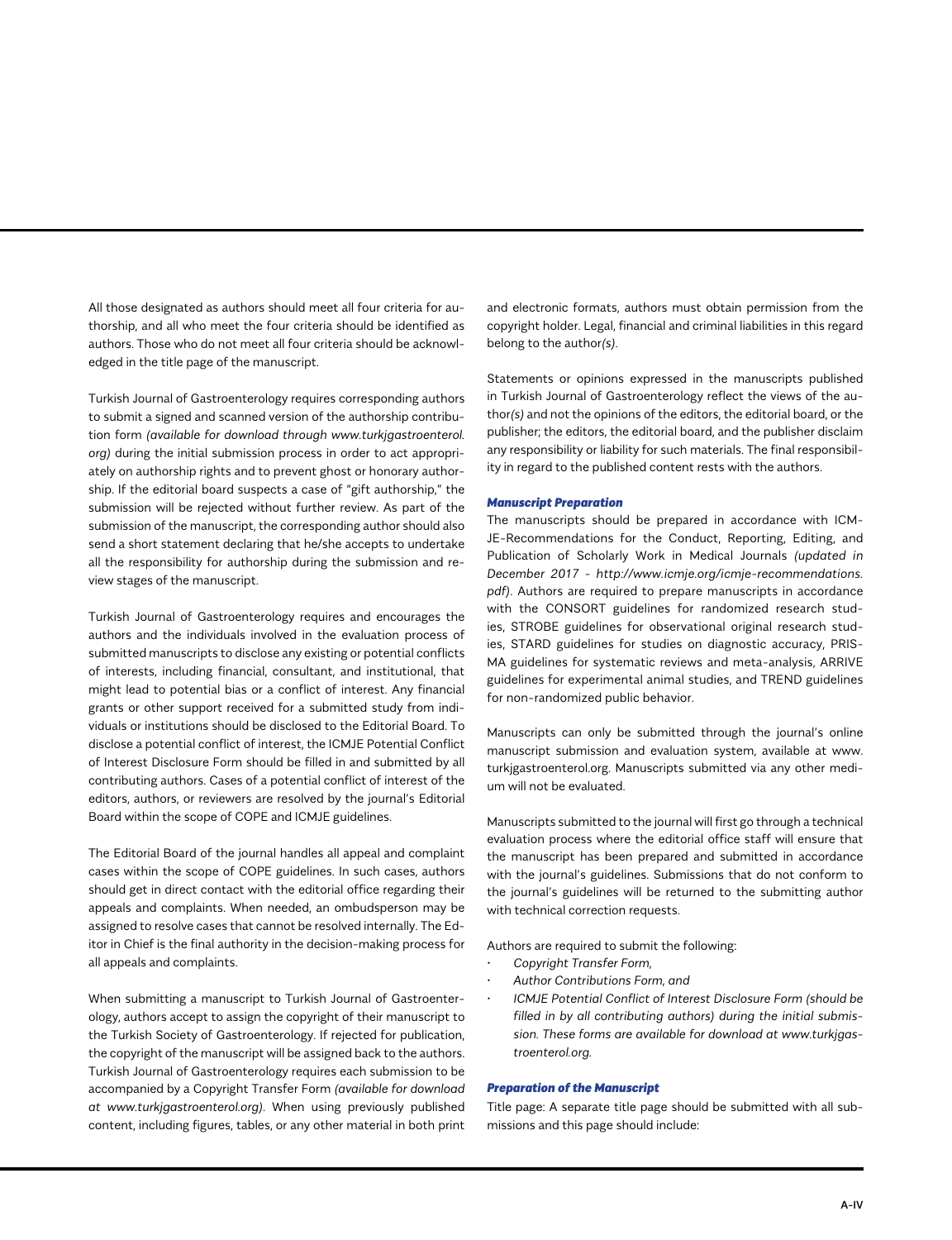All those designated as authors should meet all four criteria for authorship, and all who meet the four criteria should be identified as authors. Those who do not meet all four criteria should be acknowledged in the title page of the manuscript.

Turkish Journal of Gastroenterology requires corresponding authors to submit a signed and scanned version of the authorship contribution form *(available for download through www.turkjgastroenterol. org)* during the initial submission process in order to act appropriately on authorship rights and to prevent ghost or honorary authorship. If the editorial board suspects a case of "gift authorship," the submission will be rejected without further review. As part of the submission of the manuscript, the corresponding author should also send a short statement declaring that he/she accepts to undertake all the responsibility for authorship during the submission and review stages of the manuscript.

Turkish Journal of Gastroenterology requires and encourages the authors and the individuals involved in the evaluation process of submitted manuscripts to disclose any existing or potential conflicts of interests, including financial, consultant, and institutional, that might lead to potential bias or a conflict of interest. Any financial grants or other support received for a submitted study from individuals or institutions should be disclosed to the Editorial Board. To disclose a potential conflict of interest, the ICMJE Potential Conflict of Interest Disclosure Form should be filled in and submitted by all contributing authors. Cases of a potential conflict of interest of the editors, authors, or reviewers are resolved by the journal's Editorial Board within the scope of COPE and ICMJE guidelines.

The Editorial Board of the journal handles all appeal and complaint cases within the scope of COPE guidelines. In such cases, authors should get in direct contact with the editorial office regarding their appeals and complaints. When needed, an ombudsperson may be assigned to resolve cases that cannot be resolved internally. The Editor in Chief is the final authority in the decision-making process for all appeals and complaints.

When submitting a manuscript to Turkish Journal of Gastroenterology, authors accept to assign the copyright of their manuscript to the Turkish Society of Gastroenterology. If rejected for publication, the copyright of the manuscript will be assigned back to the authors. Turkish Journal of Gastroenterology requires each submission to be accompanied by a Copyright Transfer Form *(available for download at www.turkjgastroenterol.org)*. When using previously published content, including figures, tables, or any other material in both print

and electronic formats, authors must obtain permission from the copyright holder. Legal, financial and criminal liabilities in this regard belong to the author*(s)*.

Statements or opinions expressed in the manuscripts published in Turkish Journal of Gastroenterology reflect the views of the author*(s)* and not the opinions of the editors, the editorial board, or the publisher; the editors, the editorial board, and the publisher disclaim any responsibility or liability for such materials. The final responsibility in regard to the published content rests with the authors.

#### *Manuscript Preparation*

The manuscripts should be prepared in accordance with ICM-JE-Recommendations for the Conduct, Reporting, Editing, and Publication of Scholarly Work in Medical Journals *(updated in December 2017 - http://www.icmje.org/icmje-recommendations. pdf)*. Authors are required to prepare manuscripts in accordance with the CONSORT guidelines for randomized research studies, STROBE guidelines for observational original research studies, STARD guidelines for studies on diagnostic accuracy, PRIS-MA guidelines for systematic reviews and meta-analysis, ARRIVE guidelines for experimental animal studies, and TREND guidelines for non-randomized public behavior.

Manuscripts can only be submitted through the journal's online manuscript submission and evaluation system, available at www. turkjgastroenterol.org. Manuscripts submitted via any other medium will not be evaluated.

Manuscripts submitted to the journal will first go through a technical evaluation process where the editorial office staff will ensure that the manuscript has been prepared and submitted in accordance with the journal's guidelines. Submissions that do not conform to the journal's guidelines will be returned to the submitting author with technical correction requests.

Authors are required to submit the following:

- *• Copyright Transfer Form,*
- *• Author Contributions Form, and*
- *• ICMJE Potential Conflict of Interest Disclosure Form (should be filled in by all contributing authors) during the initial submission. These forms are available for download at www.turkjgastroenterol.org.*

### *Preparation of the Manuscript*

Title page: A separate title page should be submitted with all submissions and this page should include: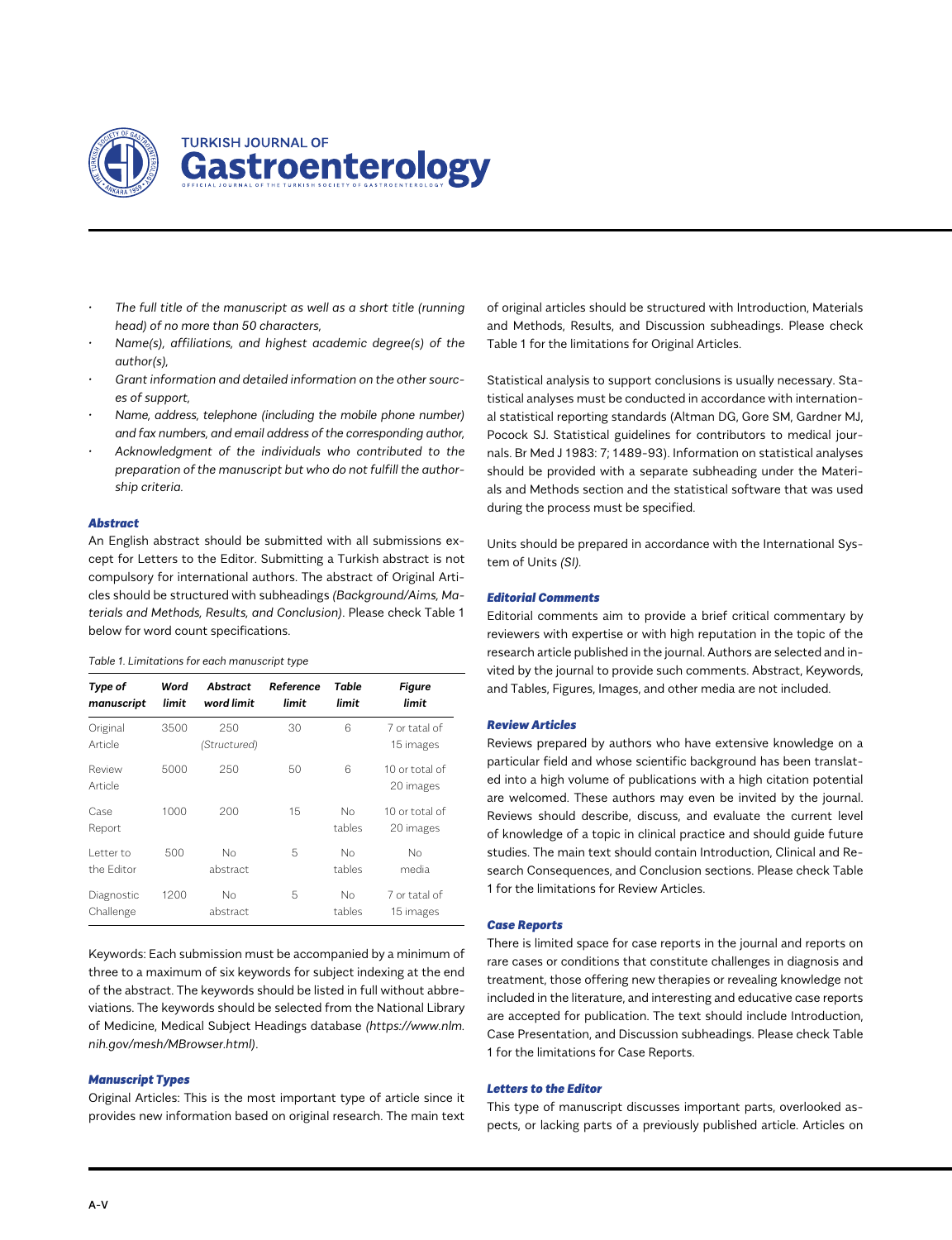

- *• The full title of the manuscript as well as a short title (running head) of no more than 50 characters,*
- *• Name(s), affiliations, and highest academic degree(s) of the author(s),*
- *• Grant information and detailed information on the other sources of support,*
- *• Name, address, telephone (including the mobile phone number) and fax numbers, and email address of the corresponding author,*
- *• Acknowledgment of the individuals who contributed to the preparation of the manuscript but who do not fulfill the authorship criteria.*

#### *Abstract*

An English abstract should be submitted with all submissions except for Letters to the Editor. Submitting a Turkish abstract is not compulsory for international authors. The abstract of Original Articles should be structured with subheadings *(Background/Aims, Materials and Methods, Results, and Conclusion)*. Please check Table 1 below for word count specifications.

#### *Table 1. Limitations for each manuscript type*

| Type of<br>manuscript    | Word<br>limit | Abstract<br>word limit | Reference<br>limit | Table<br>limit | <b>Figure</b><br>limit      |
|--------------------------|---------------|------------------------|--------------------|----------------|-----------------------------|
| Original<br>Article      | 3500          | 250<br>(Structured)    | 30                 | 6              | 7 or tatal of<br>15 images  |
| Review<br>Article        | 5000          | 250                    | 50                 | 6              | 10 or total of<br>20 images |
| Case<br>Report           | 1000          | 200                    | 15                 | Nο<br>tables   | 10 or total of<br>20 images |
| l etter to<br>the Editor | 500           | No<br>abstract         | 5                  | No<br>tables   | No<br>media                 |
| Diagnostic<br>Challenge  | 1200          | No<br>abstract         | 5                  | Nο<br>tables   | 7 or tatal of<br>15 images  |

Keywords: Each submission must be accompanied by a minimum of three to a maximum of six keywords for subject indexing at the end of the abstract. The keywords should be listed in full without abbreviations. The keywords should be selected from the National Library of Medicine, Medical Subject Headings database *(https://www.nlm. nih.gov/mesh/MBrowser.html)*.

#### *Manuscript Types*

Original Articles: This is the most important type of article since it provides new information based on original research. The main text

of original articles should be structured with Introduction, Materials and Methods, Results, and Discussion subheadings. Please check Table 1 for the limitations for Original Articles.

Statistical analysis to support conclusions is usually necessary. Statistical analyses must be conducted in accordance with international statistical reporting standards (Altman DG, Gore SM, Gardner MJ, Pocock SJ. Statistical guidelines for contributors to medical journals. Br Med J 1983: 7; 1489-93). Information on statistical analyses should be provided with a separate subheading under the Materials and Methods section and the statistical software that was used during the process must be specified.

Units should be prepared in accordance with the International System of Units *(SI).*

#### *Editorial Comments*

Editorial comments aim to provide a brief critical commentary by reviewers with expertise or with high reputation in the topic of the research article published in the journal. Authors are selected and invited by the journal to provide such comments. Abstract, Keywords, and Tables, Figures, Images, and other media are not included.

#### *Review Articles*

Reviews prepared by authors who have extensive knowledge on a particular field and whose scientific background has been translated into a high volume of publications with a high citation potential are welcomed. These authors may even be invited by the journal. Reviews should describe, discuss, and evaluate the current level of knowledge of a topic in clinical practice and should guide future studies. The main text should contain Introduction, Clinical and Research Consequences, and Conclusion sections. Please check Table 1 for the limitations for Review Articles.

#### *Case Reports*

There is limited space for case reports in the journal and reports on rare cases or conditions that constitute challenges in diagnosis and treatment, those offering new therapies or revealing knowledge not included in the literature, and interesting and educative case reports are accepted for publication. The text should include Introduction, Case Presentation, and Discussion subheadings. Please check Table 1 for the limitations for Case Reports.

#### *Letters to the Editor*

This type of manuscript discusses important parts, overlooked aspects, or lacking parts of a previously published article. Articles on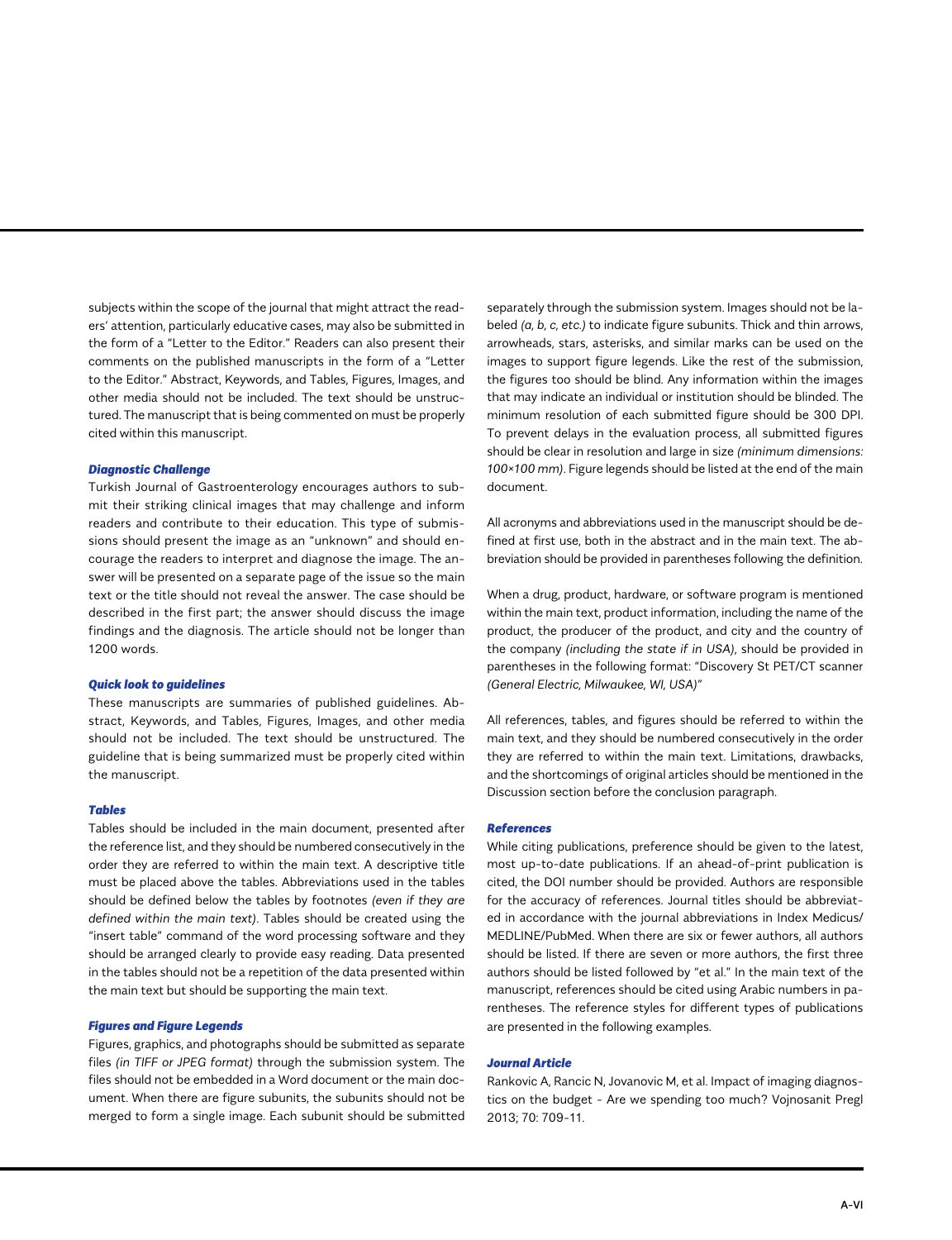subjects within the scope of the journal that might attract the readers' attention, particularly educative cases, may also be submitted in the form of a "Letter to the Editor." Readers can also present their comments on the published manuscripts in the form of a "Letter to the Editor." Abstract, Keywords, and Tables, Figures, Images, and other media should not be included. The text should be unstructured. The manuscript that is being commented on must be properly cited within this manuscript.

#### *Diagnostic Challenge*

Turkish Journal of Gastroenterology encourages authors to submit their striking clinical images that may challenge and inform readers and contribute to their education. This type of submissions should present the image as an "unknown" and should encourage the readers to interpret and diagnose the image. The answer will be presented on a separate page of the issue so the main text or the title should not reveal the answer. The case should be described in the first part; the answer should discuss the image findings and the diagnosis. The article should not be longer than 1200 words.

#### *Quick look to guidelines*

These manuscripts are summaries of published guidelines. Abstract, Keywords, and Tables, Figures, Images, and other media should not be included. The text should be unstructured. The guideline that is being summarized must be properly cited within the manuscript.

#### *Tables*

Tables should be included in the main document, presented after the reference list, and they should be numbered consecutively in the order they are referred to within the main text. A descriptive title must be placed above the tables. Abbreviations used in the tables should be defined below the tables by footnotes *(even if they are defined within the main text)*. Tables should be created using the "insert table" command of the word processing software and they should be arranged clearly to provide easy reading. Data presented in the tables should not be a repetition of the data presented within the main text but should be supporting the main text.

#### *Figures and Figure Legends*

Figures, graphics, and photographs should be submitted as separate files *(in TIFF or JPEG format)* through the submission system. The files should not be embedded in a Word document or the main document. When there are figure subunits, the subunits should not be merged to form a single image. Each subunit should be submitted

separately through the submission system. Images should not be labeled *(a, b, c, etc.)* to indicate figure subunits. Thick and thin arrows, arrowheads, stars, asterisks, and similar marks can be used on the images to support figure legends. Like the rest of the submission, the figures too should be blind. Any information within the images that may indicate an individual or institution should be blinded. The minimum resolution of each submitted figure should be 300 DPI. To prevent delays in the evaluation process, all submitted figures should be clear in resolution and large in size *(minimum dimensions: 100×100 mm)*. Figure legends should be listed at the end of the main document.

All acronyms and abbreviations used in the manuscript should be defined at first use, both in the abstract and in the main text. The abbreviation should be provided in parentheses following the definition.

When a drug, product, hardware, or software program is mentioned within the main text, product information, including the name of the product, the producer of the product, and city and the country of the company *(including the state if in USA)*, should be provided in parentheses in the following format: "Discovery St PET/CT scanner *(General Electric, Milwaukee, WI, USA)"*

All references, tables, and figures should be referred to within the main text, and they should be numbered consecutively in the order they are referred to within the main text. Limitations, drawbacks, and the shortcomings of original articles should be mentioned in the Discussion section before the conclusion paragraph.

#### *References*

While citing publications, preference should be given to the latest, most up-to-date publications. If an ahead-of-print publication is cited, the DOI number should be provided. Authors are responsible for the accuracy of references. Journal titles should be abbreviated in accordance with the journal abbreviations in Index Medicus/ MEDLINE/PubMed. When there are six or fewer authors, all authors should be listed. If there are seven or more authors, the first three authors should be listed followed by "et al." In the main text of the manuscript, references should be cited using Arabic numbers in parentheses. The reference styles for different types of publications are presented in the following examples.

#### *Journal Article*

Rankovic A, Rancic N, Jovanovic M, et al. Impact of imaging diagnostics on the budget - Are we spending too much? Vojnosanit Pregl 2013; 70: 709-11.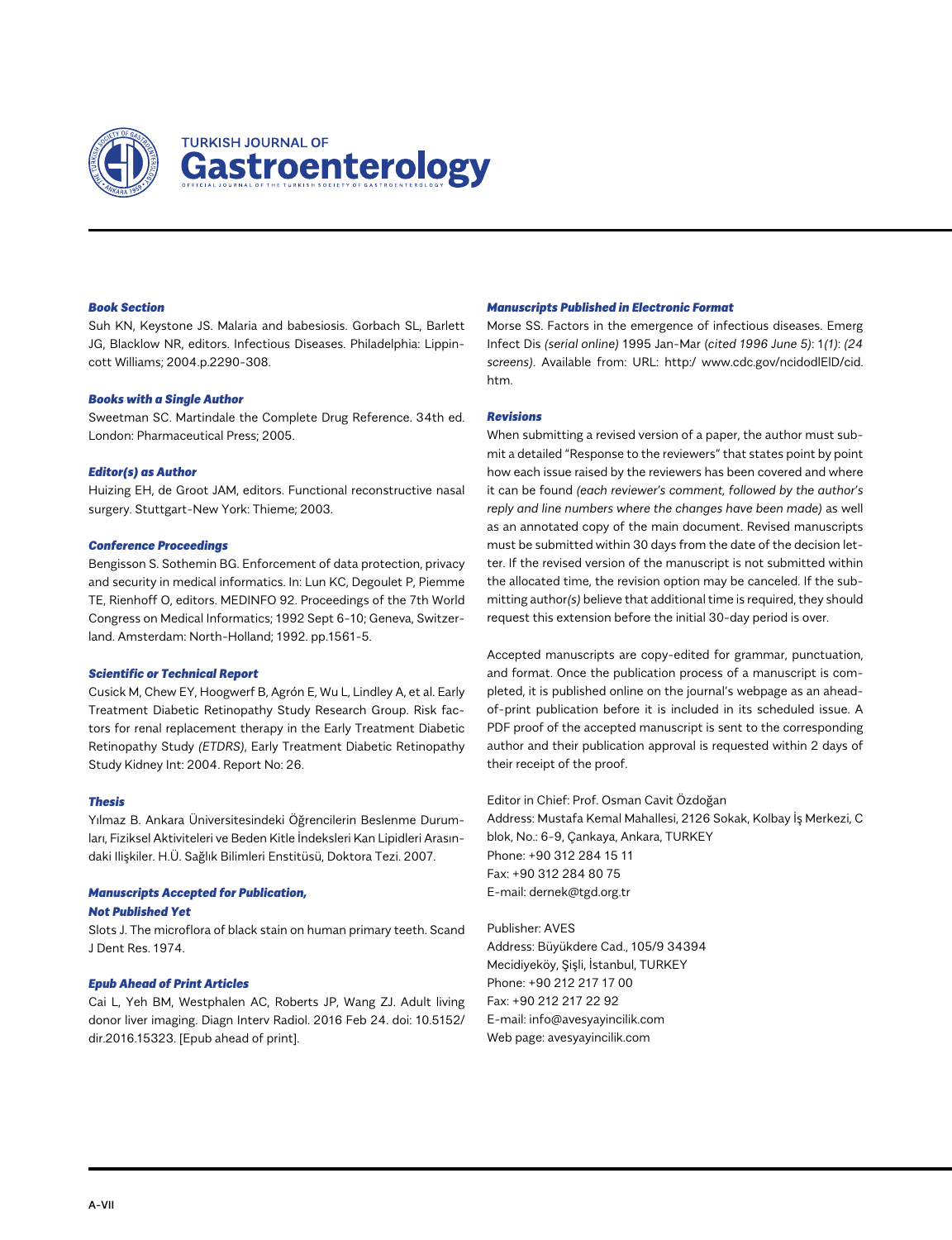

# **TURKISH JOURNAL OF** Gastroenterology

#### *Book Section*

Suh KN, Keystone JS. Malaria and babesiosis. Gorbach SL, Barlett JG, Blacklow NR, editors. Infectious Diseases. Philadelphia: Lippincott Williams; 2004.p.2290-308.

#### *Books with a Single Author*

Sweetman SC. Martindale the Complete Drug Reference. 34th ed. London: Pharmaceutical Press; 2005.

#### *Editor(s) as Author*

Huizing EH, de Groot JAM, editors. Functional reconstructive nasal surgery. Stuttgart-New York: Thieme; 2003.

#### *Conference Proceedings*

Bengisson S. Sothemin BG. Enforcement of data protection, privacy and security in medical informatics. In: Lun KC, Degoulet P, Piemme TE, Rienhoff O, editors. MEDINFO 92. Proceedings of the 7th World Congress on Medical Informatics; 1992 Sept 6-10; Geneva, Switzerland. Amsterdam: North-Holland; 1992. pp.1561-5.

#### *Scientific or Technical Report*

Cusick M, Chew EY, Hoogwerf B, Agrón E, Wu L, Lindley A, et al. Early Treatment Diabetic Retinopathy Study Research Group. Risk factors for renal replacement therapy in the Early Treatment Diabetic Retinopathy Study *(ETDRS)*, Early Treatment Diabetic Retinopathy Study Kidney Int: 2004. Report No: 26.

#### *Thesis*

Yılmaz B. Ankara Üniversitesindeki Öğrencilerin Beslenme Durumları, Fiziksel Aktiviteleri ve Beden Kitle İndeksleri Kan Lipidleri Arasındaki Ilişkiler. H.Ü. Sağlık Bilimleri Enstitüsü, Doktora Tezi. 2007.

#### *Manuscripts Accepted for Publication, Not Published Yet*

Slots J. The microflora of black stain on human primary teeth. Scand J Dent Res. 1974.

#### *Epub Ahead of Print Articles*

Cai L, Yeh BM, Westphalen AC, Roberts JP, Wang ZJ. Adult living donor liver imaging. Diagn Interv Radiol. 2016 Feb 24. doi: 10.5152/ dir.2016.15323. [Epub ahead of print].

#### *Manuscripts Published in Electronic Format*

Morse SS. Factors in the emergence of infectious diseases. Emerg Infect Dis *(serial online)* 1995 Jan-Mar (*cited 1996 June 5)*: 1*(1)*: *(24 screens)*. Available from: URL: http:/ www.cdc.gov/ncidodlElD/cid. htm.

#### *Revisions*

When submitting a revised version of a paper, the author must submit a detailed "Response to the reviewers" that states point by point how each issue raised by the reviewers has been covered and where it can be found *(each reviewer's comment, followed by the author's reply and line numbers where the changes have been made)* as well as an annotated copy of the main document. Revised manuscripts must be submitted within 30 days from the date of the decision letter. If the revised version of the manuscript is not submitted within the allocated time, the revision option may be canceled. If the submitting author*(s)* believe that additional time is required, they should request this extension before the initial 30-day period is over.

Accepted manuscripts are copy-edited for grammar, punctuation, and format. Once the publication process of a manuscript is completed, it is published online on the journal's webpage as an aheadof-print publication before it is included in its scheduled issue. A PDF proof of the accepted manuscript is sent to the corresponding author and their publication approval is requested within 2 days of their receipt of the proof.

Editor in Chief: Prof. Osman Cavit Özdoğan Address: Mustafa Kemal Mahallesi, 2126 Sokak, Kolbay İş Merkezi, C blok, No.: 6-9, Çankaya, Ankara, TURKEY Phone: +90 312 284 15 11 Fax: +90 312 284 80 75 E-mail: dernek@tgd.org.tr

Publisher: AVES Address: Büyükdere Cad., 105/9 34394 Mecidiyeköy, Şişli, İstanbul, TURKEY Phone: +90 212 217 17 00 Fax: +90 212 217 22 92 E-mail: info@avesyayincilik.com Web page: avesyayincilik.com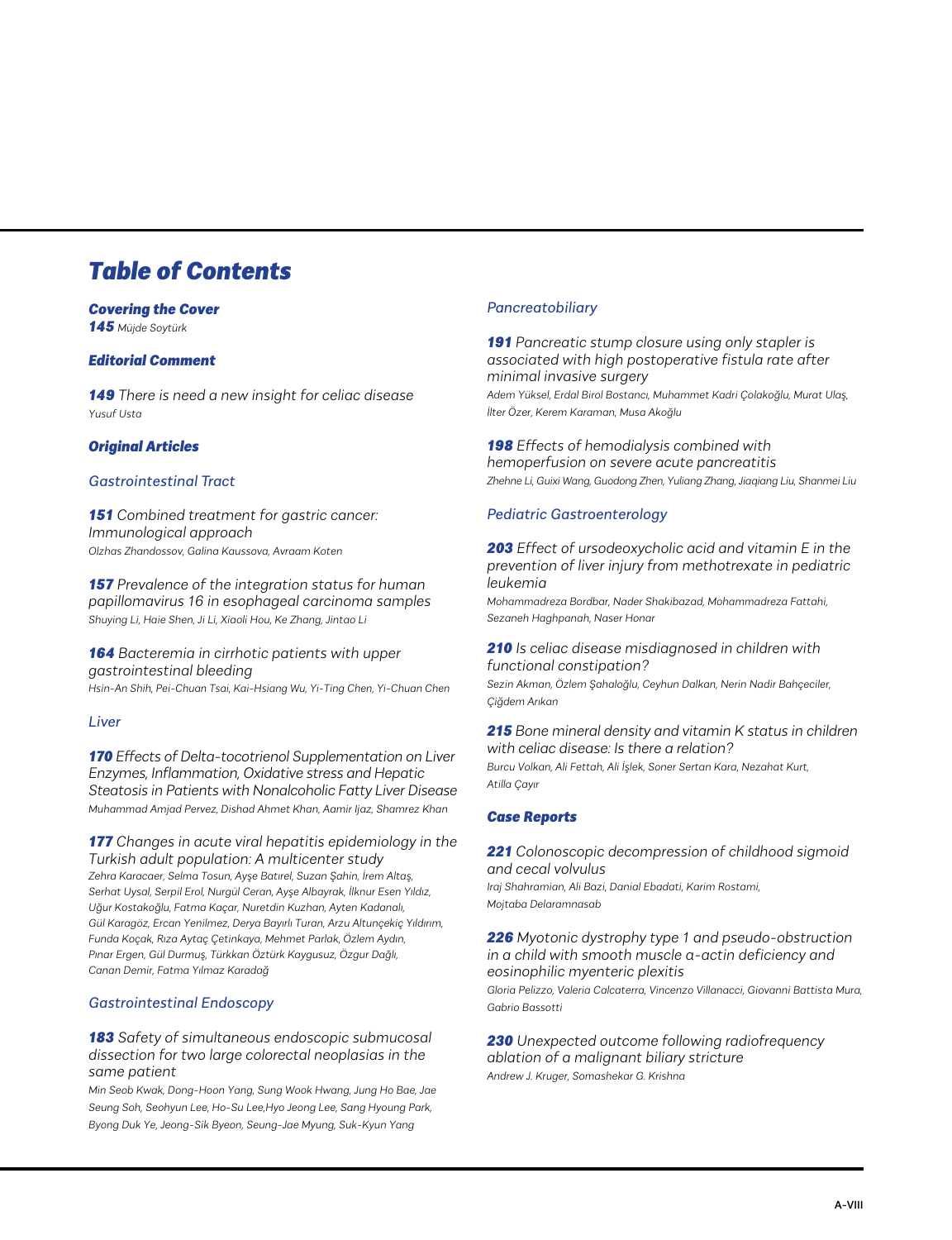# *Table of Contents*

# *Covering the Cover*

*145 Müjde Soytürk*

# *Editorial Comment*

*149 There is need a new insight for celiac disease Yusuf Usta*

# *Original Articles*

# *Gastrointestinal Tract*

*151 Combined treatment for gastric cancer: Immunological approach Olzhas Zhandossov, Galina Kaussova, Avraam Koten*

*157 Prevalence of the integration status for human papillomavirus 16 in esophageal carcinoma samples Shuying Li, Haie Shen, Ji Li, Xiaoli Hou, Ke Zhang, Jintao Li*

# *164 Bacteremia in cirrhotic patients with upper gastrointestinal bleeding*

*Hsin-An Shih, Pei-Chuan Tsai, Kai-Hsiang Wu, Yi-Ting Chen, Yi-Chuan Chen*

# *Liver*

*170 Effects of Delta-tocotrienol Supplementation on Liver Enzymes, Inflammation, Oxidative stress and Hepatic Steatosis in Patients with Nonalcoholic Fatty Liver Disease Muhammad Amjad Pervez, Dishad Ahmet Khan, Aamir Ijaz, Shamrez Khan*

*177 Changes in acute viral hepatitis epidemiology in the Turkish adult population: A multicenter study Zehra Karacaer, Selma Tosun, Ayşe Batırel, Suzan Şahin, İrem Altaş, Serhat Uysal, Serpil Erol, Nurgül Ceran, Ayşe Albayrak, İlknur Esen Yıldız, Uğur Kostakoğlu, Fatma Kaçar, Nuretdin Kuzhan, Ayten Kadanalı, Gül Karagöz, Ercan Yenilmez, Derya Bayırlı Turan, Arzu Altunçekiç Yıldırım, Funda Koçak, Rıza Aytaç Çetinkaya, Mehmet Parlak, Özlem Aydın, Pınar Ergen, Gül Durmuş, Türkkan Öztürk Kaygusuz, Özgur Dağlı, Canan Demir, Fatma Yılmaz Karadağ*

# *Gastrointestinal Endoscopy*

# *183 Safety of simultaneous endoscopic submucosal dissection for two large colorectal neoplasias in the same patient*

*Min Seob Kwak, Dong-Hoon Yang, Sung Wook Hwang, Jung Ho Bae, Jae Seung Soh, Seohyun Lee, Ho-Su Lee,Hyo Jeong Lee, Sang Hyoung Park, Byong Duk Ye, Jeong-Sik Byeon, Seung-Jae Myung, Suk-Kyun Yang*

# *Pancreatobiliary*

*191 Pancreatic stump closure using only stapler is associated with high postoperative fistula rate after minimal invasive surgery*

*Adem Yüksel, Erdal Birol Bostancı, Muhammet Kadri Çolakoğlu, Murat Ulaş, İlter Özer, Kerem Karaman, Musa Akoğlu*

*198 Effects of hemodialysis combined with hemoperfusion on severe acute pancreatitis Zhehne Li, Guixi Wang, Guodong Zhen, Yuliang Zhang, Jiaqiang Liu, Shanmei Liu*

# *Pediatric Gastroenterology*

*203 Effect of ursodeoxycholic acid and vitamin E in the prevention of liver injury from methotrexate in pediatric leukemia*

*Mohammadreza Bordbar, Nader Shakibazad, Mohammadreza Fattahi, Sezaneh Haghpanah, Naser Honar*

# *210 Is celiac disease misdiagnosed in children with functional constipation?*

*Sezin Akman, Özlem Şahaloğlu, Ceyhun Dalkan, Nerin Nadir Bahçeciler, Çiğdem Arıkan*

#### *215 Bone mineral density and vitamin K status in children with celiac disease: Is there a relation?*

*Burcu Volkan, Ali Fettah, Ali İşlek, Soner Sertan Kara, Nezahat Kurt, Atilla Çayır*

# *Case Reports*

*221 Colonoscopic decompression of childhood sigmoid and cecal volvulus*

*Iraj Shahramian, Ali Bazi, Danial Ebadati, Karim Rostami, Mojtaba Delaramnasab*

*226 Myotonic dystrophy type 1 and pseudo-obstruction in a child with smooth muscle α-actin deficiency and eosinophilic myenteric plexitis*

*Gloria Pelizzo, Valeria Calcaterra, Vincenzo Villanacci, Giovanni Battista Mura, Gabrio Bassotti*

*230 Unexpected outcome following radiofrequency ablation of a malignant biliary stricture Andrew J. Kruger, Somashekar G. Krishna*